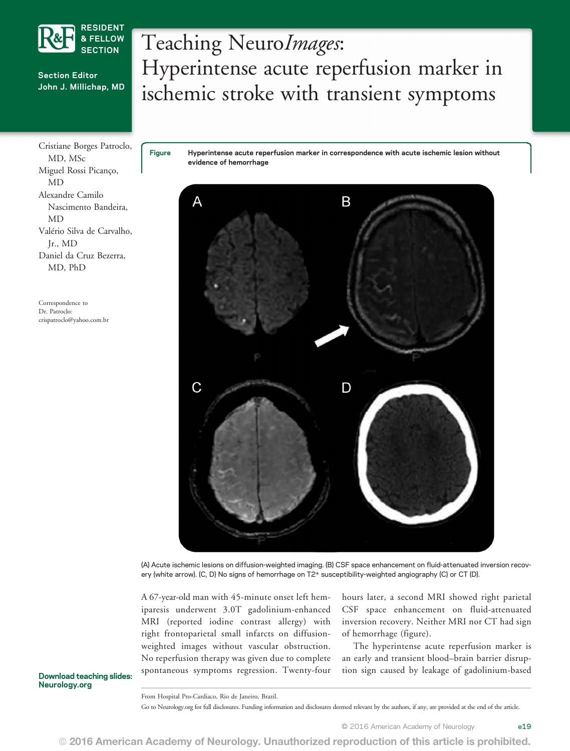

#### Section Editor John J. Millichap, MD

Cristiane Borges Patroclo, MD, MSc Miguel Rossi Picanço, MD Alexandre Camilo Nascimento Bandeira, MD Valério Silva de Carvalho, Jr., MD Daniel da Cruz Bezerra, MD, PhD

Correspondence to Dr. Patroclo: crispatroclo@yahoo.com.br

# Teaching NeuroImages: Hyperintense acute reperfusion marker in ischemic stroke with transient symptoms

Figure Hyperintense acute reperfusion marker in correspondence with acute ischemic lesion without evidence of hemorrhage



(A) Acute ischemic lesions on diffusion-weighted imaging. (B) CSF space enhancement on fluid-attenuated inversion recovery (white arrow). (C, D) No signs of hemorrhage on T2\* susceptibility-weighted angiography (C) or CT (D).

A 67-year-old man with 45-minute onset left hemiparesis underwent 3.0T gadolinium-enhanced MRI (reported iodine contrast allergy) with right frontoparietal small infarcts on diffusionweighted images without vascular obstruction. No reperfusion therapy was given due to complete spontaneous symptoms regression. Twenty-four

hours later, a second MRI showed right parietal CSF space enhancement on fluid-attenuated inversion recovery. Neither MRI nor CT had sign of hemorrhage (figure).

The hyperintense acute reperfusion marker is an early and transient blood–brain barrier disruption sign caused by leakage of gadolinium-based

Download teaching slides: Neurology.org

From Hospital Pro-Cardiaco, Rio de Janeiro, Brazil.

Go to Neurology.org for full disclosures. Funding information and disclosures deemed relevant by the authors, if any, are provided at the end of the article.

© 2016 American Academy of Neurology e19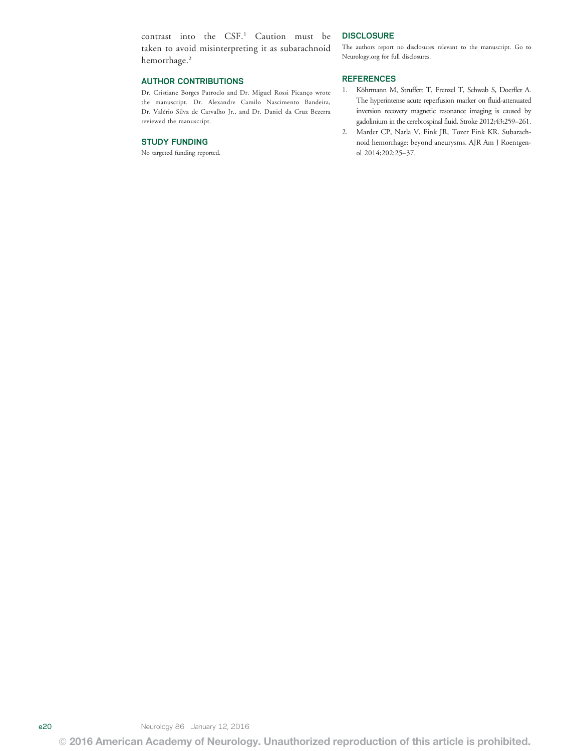contrast into the CSF.1 Caution must be taken to avoid misinterpreting it as subarachnoid hemorrhage.<sup>2</sup>

#### AUTHOR CONTRIBUTIONS

Dr. Cristiane Borges Patroclo and Dr. Miguel Rossi Picanço wrote the manuscript. Dr. Alexandre Camilo Nascimento Bandeira, Dr. Valério Silva de Carvalho Jr., and Dr. Daniel da Cruz Bezerra reviewed the manuscript.

#### STUDY FUNDING

No targeted funding reported.

#### **DISCLOSURE**

The authors report no disclosures relevant to the manuscript. Go to Neurology.org for full disclosures.

#### REFERENCES

- 1. Köhrmann M, Struffert T, Frenzel T, Schwab S, Doerfler A. The hyperintense acute reperfusion marker on fluid-attenuated inversion recovery magnetic resonance imaging is caused by gadolinium in the cerebrospinal fluid. Stroke 2012;43:259–261.
- 2. Marder CP, Narla V, Fink JR, Tozer Fink KR. Subarachnoid hemorrhage: beyond aneurysms. AJR Am J Roentgenol 2014;202:25–37.